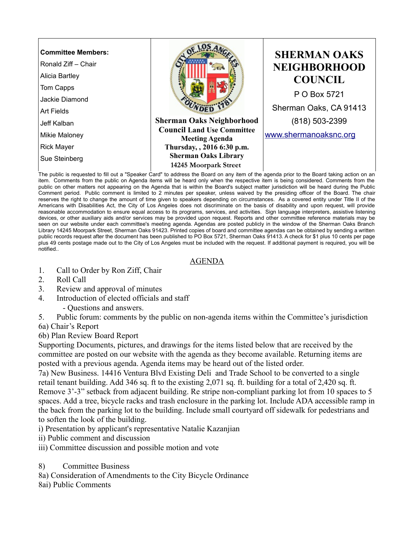

The public is requested to fill out a "Speaker Card" to address the Board on any item of the agenda prior to the Board taking action on an item. Comments from the public on Agenda items will be heard only when the respective item is being considered. Comments from the public on other matters not appearing on the Agenda that is within the Board's subject matter jurisdiction will be heard during the Public Comment period. Public comment is limited to 2 minutes per speaker, unless waived by the presiding officer of the Board. The chair reserves the right to change the amount of time given to speakers depending on circumstances. As a covered entity under Title II of the Americans with Disabilities Act, the City of Los Angeles does not discriminate on the basis of disability and upon request, will provide reasonable accommodation to ensure equal access to its programs, services, and activities. Sign language interpreters, assistive listening devices, or other auxiliary aids and/or services may be provided upon request. Reports and other committee reference materials may be seen on our website under each committee's meeting agenda. Agendas are posted publicly in the window of the Sherman Oaks Branch Library 14245 Moorpark Street, Sherman Oaks 91423. Printed copies of board and committee agendas can be obtained by sending a written public records request after the document has been published to PO Box 5721, Sherman Oaks 91413. A check for \$1 plus 10 cents per page plus 49 cents postage made out to the City of Los Angeles must be included with the request. If additional payment is required, you will be notified..

## AGENDA

- 1. Call to Order by Ron Ziff, Chair
- 2. Roll Call
- 3. Review and approval of minutes
- 4. Introduction of elected officials and staff
	- Questions and answers.
- 5. Public forum: comments by the public on non-agenda items within the Committee's jurisdiction

6a) Chair's Report

6b) Plan Review Board Report

Supporting Documents, pictures, and drawings for the items listed below that are received by the committee are posted on our website with the agenda as they become available. Returning items are posted with a previous agenda. Agenda items may be heard out of the listed order.

7a) New Business. 14416 Ventura Blvd Existing Deli and Trade School to be converted to a single retail tenant building. Add 346 sq. ft to the existing 2,071 sq. ft. building for a total of 2,420 sq. ft. Remove 3'-3" setback from adjacent building. Re stripe non-compliant parking lot from 10 spaces to 5 spaces. Add a tree, bicycle racks and trash enclosure in the parking lot. Include ADA accessible ramp in the back from the parking lot to the building. Include small courtyard off sidewalk for pedestrians and to soften the look of the building.

i) Presentation by applicant's representative Natalie Kazanjian

- ii) Public comment and discussion
- iii) Committee discussion and possible motion and vote
- 8) Committee Business
- 8a) Consideration of Amendments to the City Bicycle Ordinance
- 8ai) Public Comments